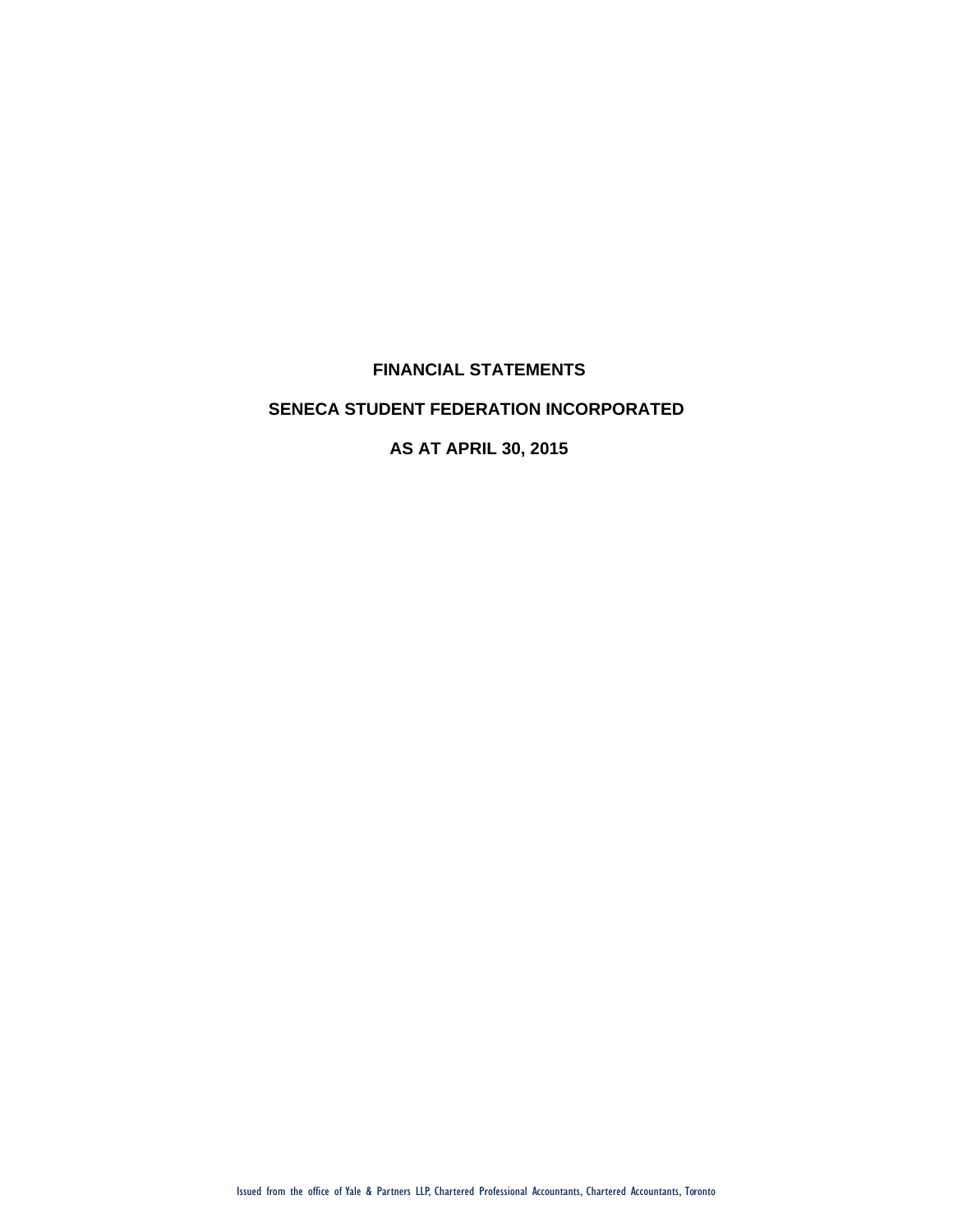## **FINANCIAL STATEMENTS**

#### **SENECA STUDENT FEDERATION INCORPORATED**

**AS AT APRIL 30, 2015**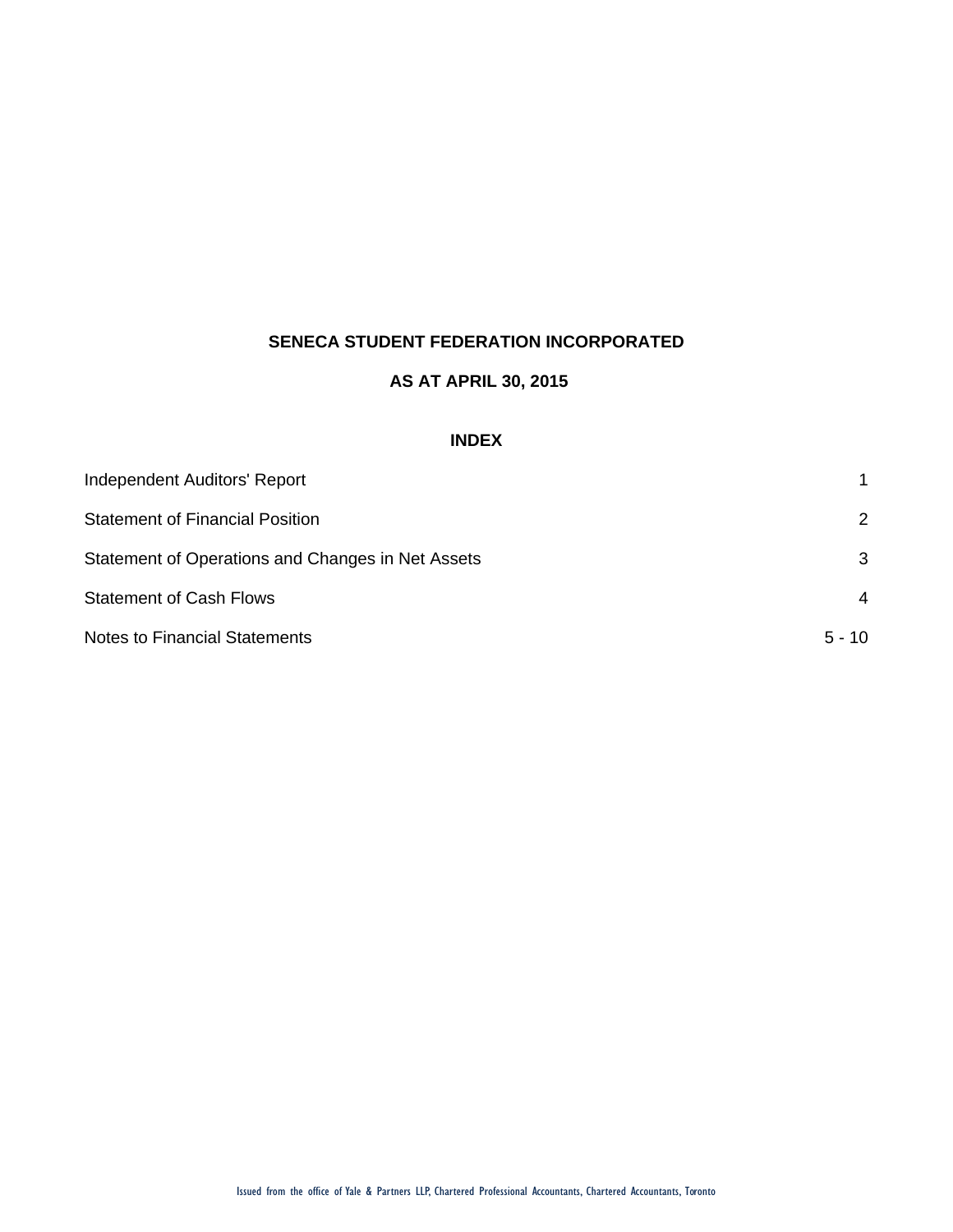## **AS AT APRIL 30, 2015**

## **INDEX**

| Independent Auditors' Report                      |               |
|---------------------------------------------------|---------------|
| <b>Statement of Financial Position</b>            | $\mathcal{P}$ |
| Statement of Operations and Changes in Net Assets | 3             |
| <b>Statement of Cash Flows</b>                    | 4             |
| <b>Notes to Financial Statements</b>              | $5 - 10$      |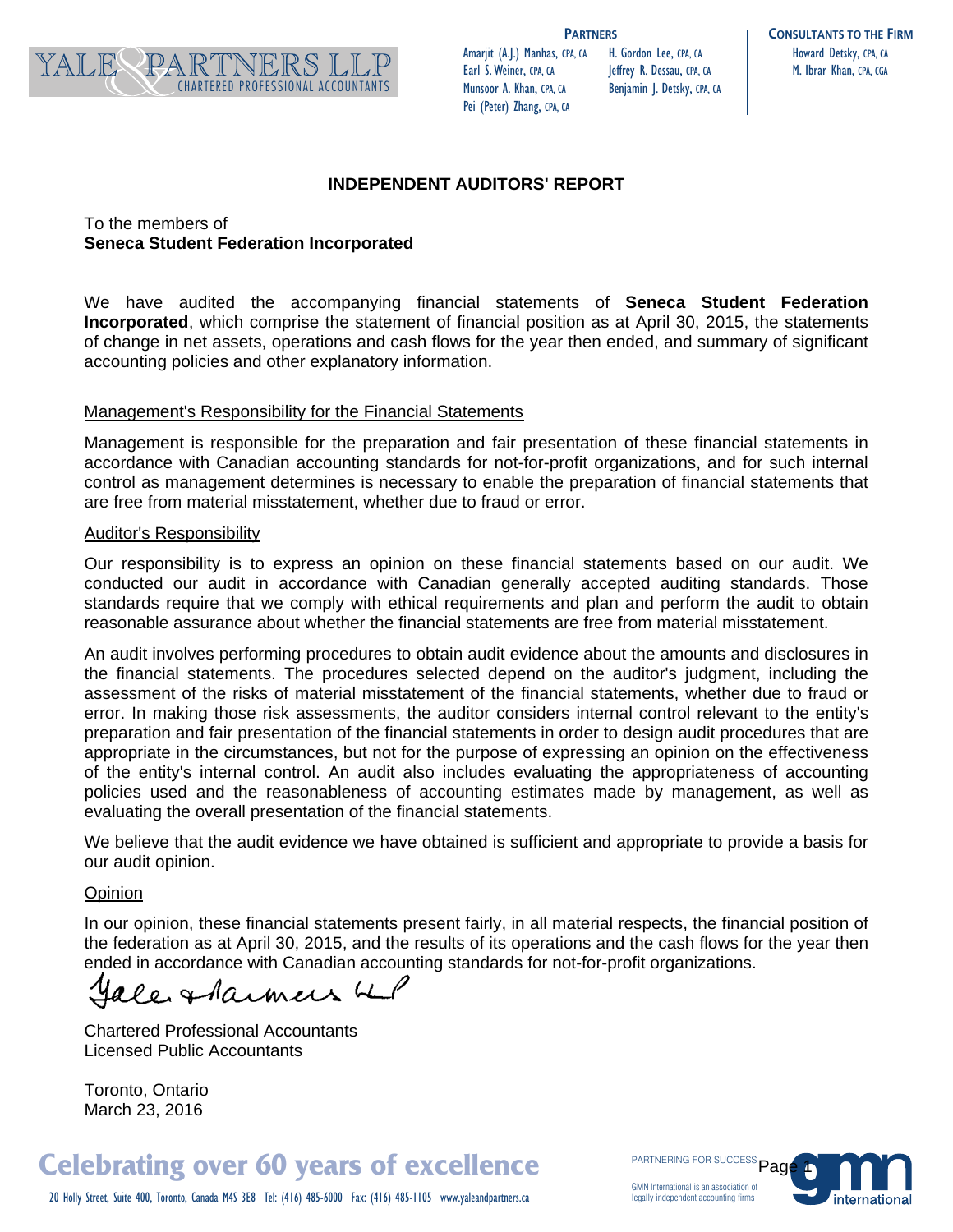

Amarjit (A.J.) Manhas, CPA, CA Earl S. Weiner, CPA, CA Munsoor A. Khan, CPA, CA Pei (Peter) Zhang, CPA, CA

H. Gordon Lee, CPA, CA Jeffrey R. Dessau, CPA, CA

**PARTNERS CONSULTANTS TO THE FIRM** Howard Detsky, CPA, CA M. Ibrar Khan, CPA, CGA

## **INDEPENDENT AUDITORS' REPORT**

#### To the members of **Seneca Student Federation Incorporated**

We have audited the accompanying financial statements of **Seneca Student Federation Incorporated**, which comprise the statement of financial position as at April 30, 2015, the statements of change in net assets, operations and cash flows for the year then ended, and summary of significant accounting policies and other explanatory information.

#### Management's Responsibility for the Financial Statements

Management is responsible for the preparation and fair presentation of these financial statements in accordance with Canadian accounting standards for not-for-profit organizations, and for such internal control as management determines is necessary to enable the preparation of financial statements that are free from material misstatement, whether due to fraud or error.

#### Auditor's Responsibility

Our responsibility is to express an opinion on these financial statements based on our audit. We conducted our audit in accordance with Canadian generally accepted auditing standards. Those standards require that we comply with ethical requirements and plan and perform the audit to obtain reasonable assurance about whether the financial statements are free from material misstatement.

An audit involves performing procedures to obtain audit evidence about the amounts and disclosures in the financial statements. The procedures selected depend on the auditor's judgment, including the assessment of the risks of material misstatement of the financial statements, whether due to fraud or error. In making those risk assessments, the auditor considers internal control relevant to the entity's preparation and fair presentation of the financial statements in order to design audit procedures that are appropriate in the circumstances, but not for the purpose of expressing an opinion on the effectiveness of the entity's internal control. An audit also includes evaluating the appropriateness of accounting policies used and the reasonableness of accounting estimates made by management, as well as evaluating the overall presentation of the financial statements.

We believe that the audit evidence we have obtained is sufficient and appropriate to provide a basis for our audit opinion.

#### **Opinion**

In our opinion, these financial statements present fairly, in all material respects, the financial position of the federation as at April 30, 2015, and the results of its operations and the cash flows for the year then ended in accordance with Canadian accounting standards for not-for-profit organizations.

Maimeis H

Chartered Professional Accountants Licensed Public Accountants

Toronto, Ontario March 23, 2016

# **Celebrating over 60 years of excellence**

PARTNERING FOR SUCCESS Page 1



20 Holly Street, Suite 400, Toronto, Canada M4S 3E8 Tel: (416) 485-6000 Fax: (416) 485-1105 www.yaleandpartners.ca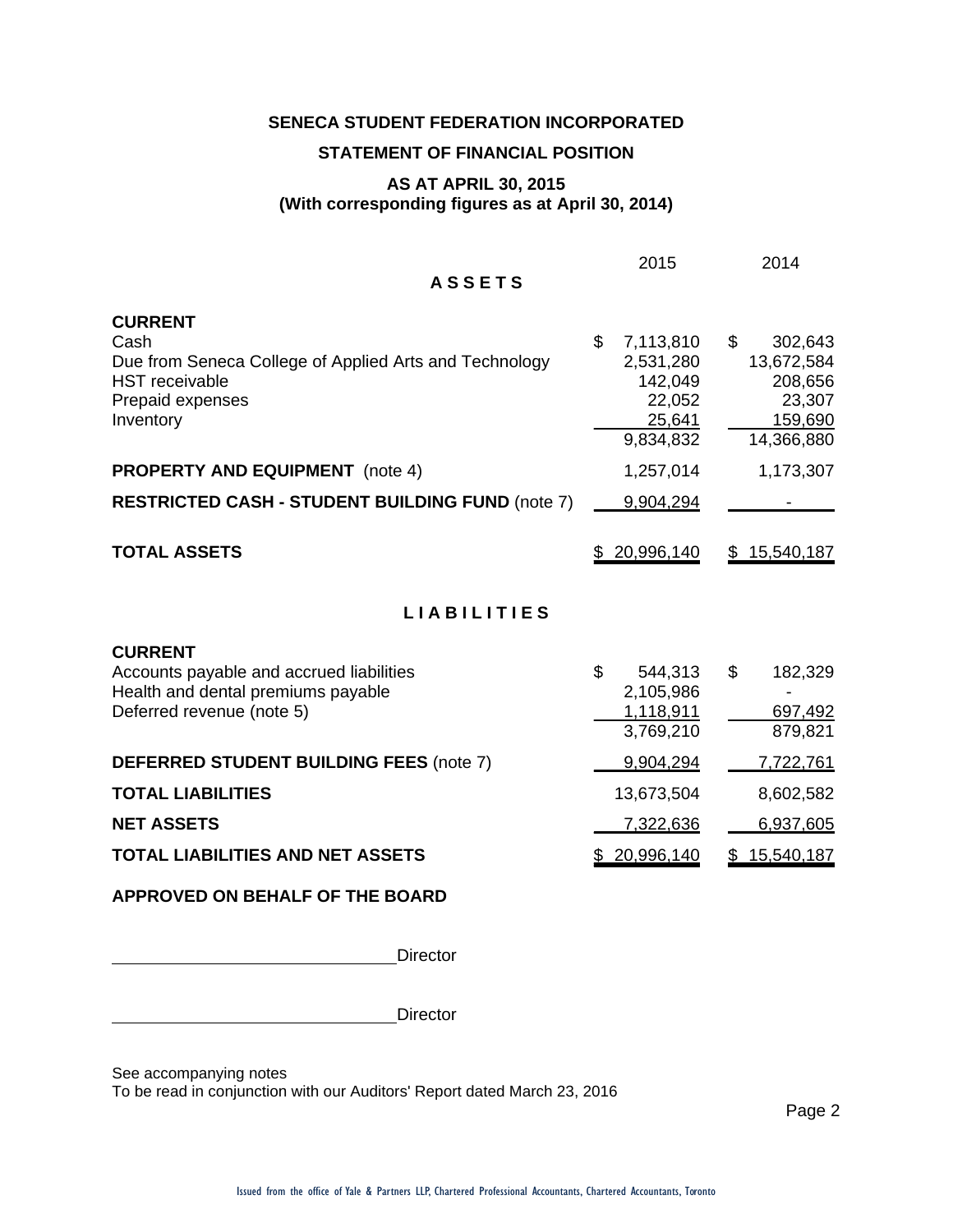#### **STATEMENT OF FINANCIAL POSITION**

#### **AS AT APRIL 30, 2015 (With corresponding figures as at April 30, 2014)**

|                                                                                                                                            | 2015                                                                     | 2014                                                                                  |
|--------------------------------------------------------------------------------------------------------------------------------------------|--------------------------------------------------------------------------|---------------------------------------------------------------------------------------|
| <b>ASSETS</b>                                                                                                                              |                                                                          |                                                                                       |
| <b>CURRENT</b><br>Cash<br>Due from Seneca College of Applied Arts and Technology<br><b>HST</b> receivable<br>Prepaid expenses<br>Inventory | \$<br>7,113,810<br>2,531,280<br>142,049<br>22,052<br>25,641<br>9,834,832 | $\mathfrak{S}$<br>302,643<br>13,672,584<br>208,656<br>23,307<br>159,690<br>14,366,880 |
| <b>PROPERTY AND EQUIPMENT</b> (note 4)                                                                                                     | 1,257,014                                                                | 1,173,307                                                                             |
| <b>RESTRICTED CASH - STUDENT BUILDING FUND (note 7)</b>                                                                                    | 9,904,294                                                                | $\overline{\phantom{a}}$                                                              |
| <b>TOTAL ASSETS</b>                                                                                                                        | 20,996,140                                                               | 15,540,187<br>\$.                                                                     |
| <b>LIABILITIES</b>                                                                                                                         |                                                                          |                                                                                       |
| <b>CURRENT</b><br>Accounts payable and accrued liabilities<br>Health and dental premiums payable<br>Deferred revenue (note 5)              | \$<br>544,313<br>2,105,986<br>1,118,911<br>3,769,210                     | \$<br>182,329<br>697,492<br>879,821                                                   |
| <b>DEFERRED STUDENT BUILDING FEES (note 7)</b>                                                                                             | 9,904,294                                                                | 7,722,761                                                                             |
| <b>TOTAL LIABILITIES</b>                                                                                                                   | 13,673,504                                                               | 8,602,582                                                                             |
| <b>NET ASSETS</b>                                                                                                                          | 7,322,636                                                                | 6,937,605                                                                             |
| <b>TOTAL LIABILITIES AND NET ASSETS</b>                                                                                                    | 20,996,140                                                               | <u>15,540,187</u><br>S                                                                |
| <b>APPROVED ON BEHALF OF THE BOARD</b>                                                                                                     |                                                                          |                                                                                       |

**Director** 

**Director** 

See accompanying notes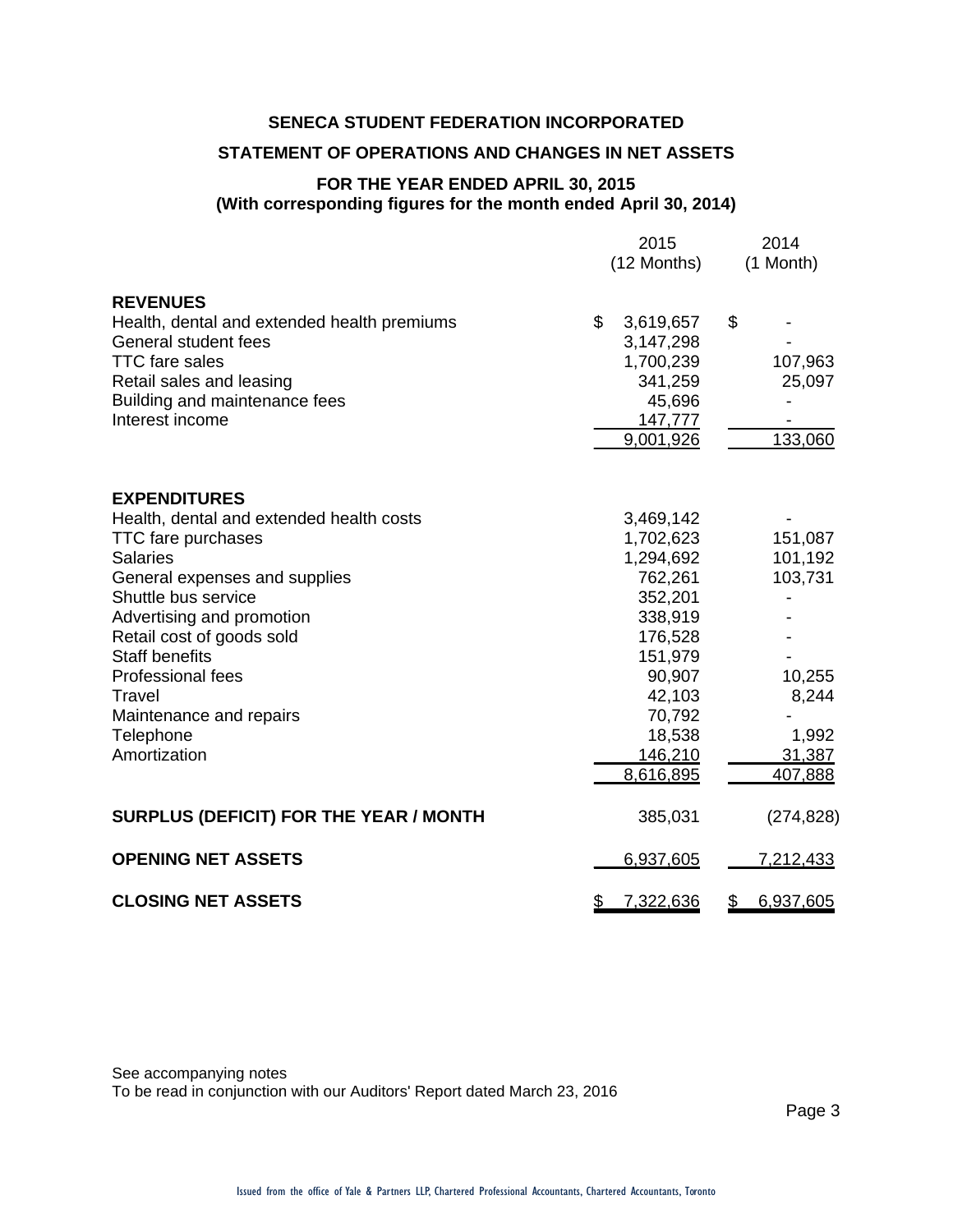## **STATEMENT OF OPERATIONS AND CHANGES IN NET ASSETS**

### **FOR THE YEAR ENDED APRIL 30, 2015 (With corresponding figures for the month ended April 30, 2014)**

|                                                                                                                                                                                                                                                                                                                                                   | 2015<br>(12 Months)                                                                                                                                        | 2014<br>(1 Month)                                                              |
|---------------------------------------------------------------------------------------------------------------------------------------------------------------------------------------------------------------------------------------------------------------------------------------------------------------------------------------------------|------------------------------------------------------------------------------------------------------------------------------------------------------------|--------------------------------------------------------------------------------|
| <b>REVENUES</b><br>Health, dental and extended health premiums<br>General student fees<br><b>TTC</b> fare sales<br>Retail sales and leasing<br>Building and maintenance fees<br>Interest income                                                                                                                                                   | \$<br>3,619,657<br>3,147,298<br>1,700,239<br>341,259<br>45,696<br><u>147,777</u><br>9,001,926                                                              | \$<br>107,963<br>25,097<br>133,060                                             |
| <b>EXPENDITURES</b><br>Health, dental and extended health costs<br>TTC fare purchases<br><b>Salaries</b><br>General expenses and supplies<br>Shuttle bus service<br>Advertising and promotion<br>Retail cost of goods sold<br><b>Staff benefits</b><br><b>Professional fees</b><br>Travel<br>Maintenance and repairs<br>Telephone<br>Amortization | 3,469,142<br>1,702,623<br>1,294,692<br>762,261<br>352,201<br>338,919<br>176,528<br>151,979<br>90,907<br>42,103<br>70,792<br>18,538<br>146,210<br>8,616,895 | 151,087<br>101,192<br>103,731<br>10,255<br>8,244<br>1,992<br>31,387<br>407,888 |
| <b>SURPLUS (DEFICIT) FOR THE YEAR / MONTH</b>                                                                                                                                                                                                                                                                                                     | 385,031                                                                                                                                                    | (274, 828)                                                                     |
| <b>OPENING NET ASSETS</b>                                                                                                                                                                                                                                                                                                                         | 6,937,605                                                                                                                                                  | <u>7,212,433</u>                                                               |
| <b>CLOSING NET ASSETS</b>                                                                                                                                                                                                                                                                                                                         | 7,322,636<br>\$                                                                                                                                            | \$<br>6,937,605                                                                |

See accompanying notes To be read in conjunction with our Auditors' Report dated March 23, 2016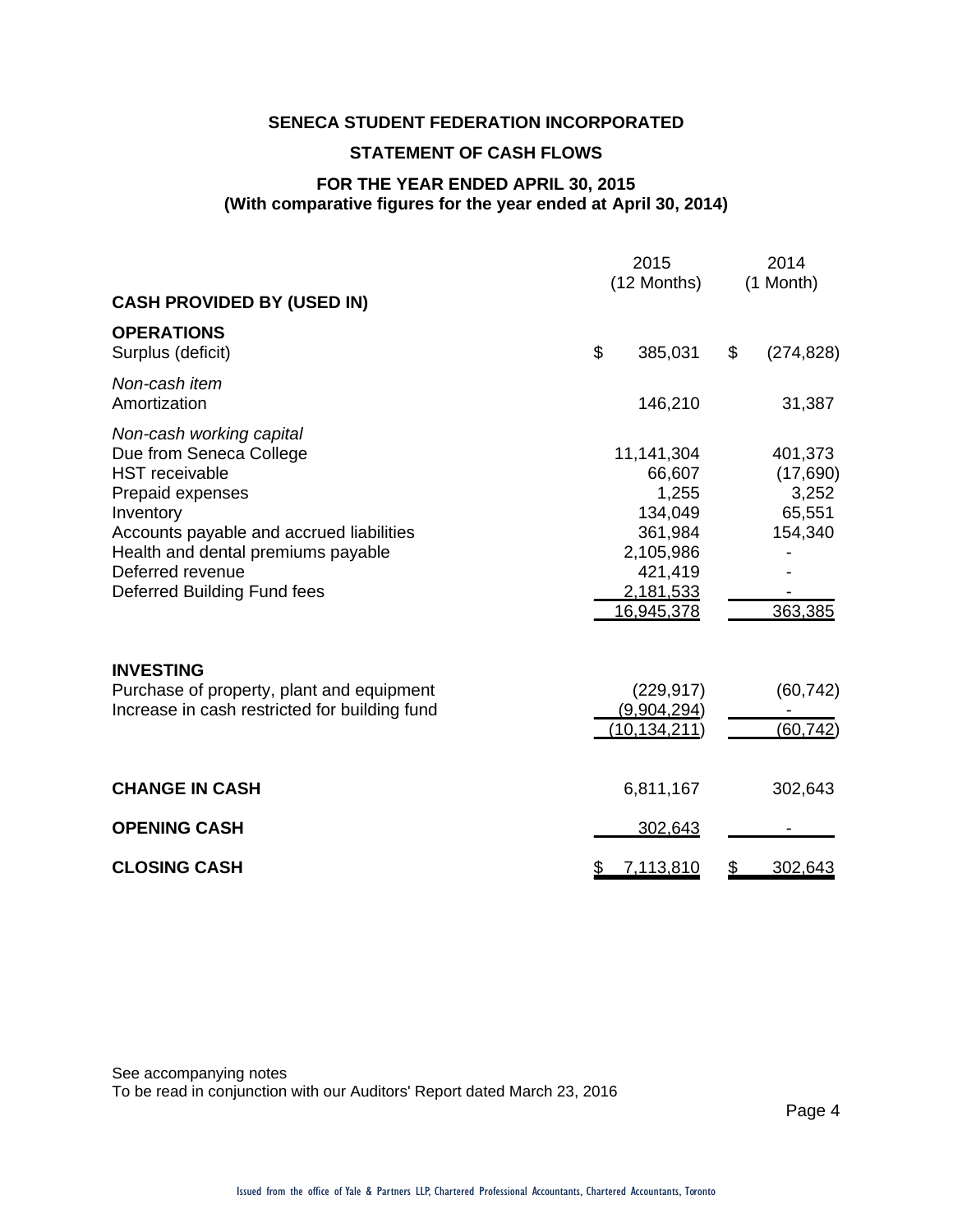## **STATEMENT OF CASH FLOWS**

## **FOR THE YEAR ENDED APRIL 30, 2015 (With comparative figures for the year ended at April 30, 2014)**

|                                                                                                                                                                                                                                                    | 2015                                                                                                          | 2014                                                         |
|----------------------------------------------------------------------------------------------------------------------------------------------------------------------------------------------------------------------------------------------------|---------------------------------------------------------------------------------------------------------------|--------------------------------------------------------------|
| <b>CASH PROVIDED BY (USED IN)</b>                                                                                                                                                                                                                  | (12 Months)                                                                                                   | (1 Month)                                                    |
| <b>OPERATIONS</b><br>Surplus (deficit)                                                                                                                                                                                                             | \$<br>385,031                                                                                                 | \$<br>(274, 828)                                             |
| Non-cash item<br>Amortization                                                                                                                                                                                                                      | 146,210                                                                                                       | 31,387                                                       |
| Non-cash working capital<br>Due from Seneca College<br><b>HST</b> receivable<br>Prepaid expenses<br>Inventory<br>Accounts payable and accrued liabilities<br>Health and dental premiums payable<br>Deferred revenue<br>Deferred Building Fund fees | 11,141,304<br>66,607<br>1,255<br>134,049<br>361,984<br>2,105,986<br>421,419<br><u>2,181,533</u><br>16,945,378 | 401,373<br>(17,690)<br>3,252<br>65,551<br>154,340<br>363,385 |
| <b>INVESTING</b><br>Purchase of property, plant and equipment<br>Increase in cash restricted for building fund                                                                                                                                     | (229, 917)<br>(9,904,294)<br><u>(10,134,211)</u>                                                              | (60, 742)<br>(60, 742)                                       |
| <b>CHANGE IN CASH</b>                                                                                                                                                                                                                              | 6,811,167                                                                                                     | 302,643                                                      |
| <b>OPENING CASH</b>                                                                                                                                                                                                                                | 302,643                                                                                                       |                                                              |
| <b>CLOSING CASH</b>                                                                                                                                                                                                                                | 7,113,810                                                                                                     | \$<br>302,643                                                |

See accompanying notes To be read in conjunction with our Auditors' Report dated March 23, 2016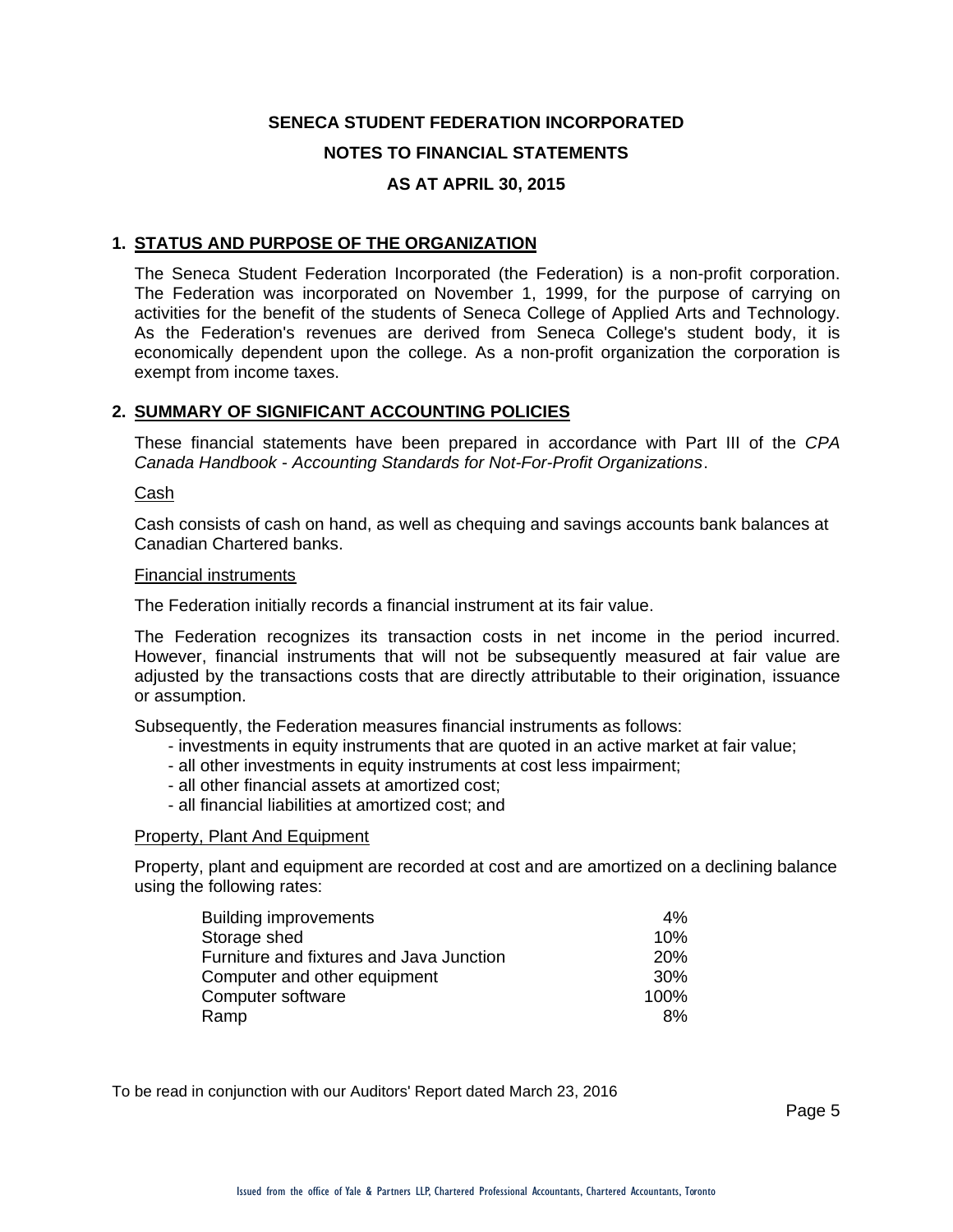#### **1. STATUS AND PURPOSE OF THE ORGANIZATION**

The Seneca Student Federation Incorporated (the Federation) is a non-profit corporation. The Federation was incorporated on November 1, 1999, for the purpose of carrying on activities for the benefit of the students of Seneca College of Applied Arts and Technology. As the Federation's revenues are derived from Seneca College's student body, it is economically dependent upon the college. As a non-profit organization the corporation is exempt from income taxes.

#### **2. SUMMARY OF SIGNIFICANT ACCOUNTING POLICIES**

These financial statements have been prepared in accordance with Part III of the *CPA Canada Handbook* - *Accounting Standards for Not-For-Profit Organizations*.

#### Cash

Cash consists of cash on hand, as well as chequing and savings accounts bank balances at Canadian Chartered banks.

#### Financial instruments

The Federation initially records a financial instrument at its fair value.

The Federation recognizes its transaction costs in net income in the period incurred. However, financial instruments that will not be subsequently measured at fair value are adjusted by the transactions costs that are directly attributable to their origination, issuance or assumption.

Subsequently, the Federation measures financial instruments as follows:

- investments in equity instruments that are quoted in an active market at fair value;
- all other investments in equity instruments at cost less impairment;
- all other financial assets at amortized cost;
- all financial liabilities at amortized cost; and

#### Property, Plant And Equipment

Property, plant and equipment are recorded at cost and are amortized on a declining balance using the following rates:

| <b>Building improvements</b>             | 4%              |
|------------------------------------------|-----------------|
| Storage shed                             | 10%             |
| Furniture and fixtures and Java Junction | <b>20%</b>      |
| Computer and other equipment             | 30 <sup>%</sup> |
| Computer software                        | 100%            |
| Ramp                                     | 8%              |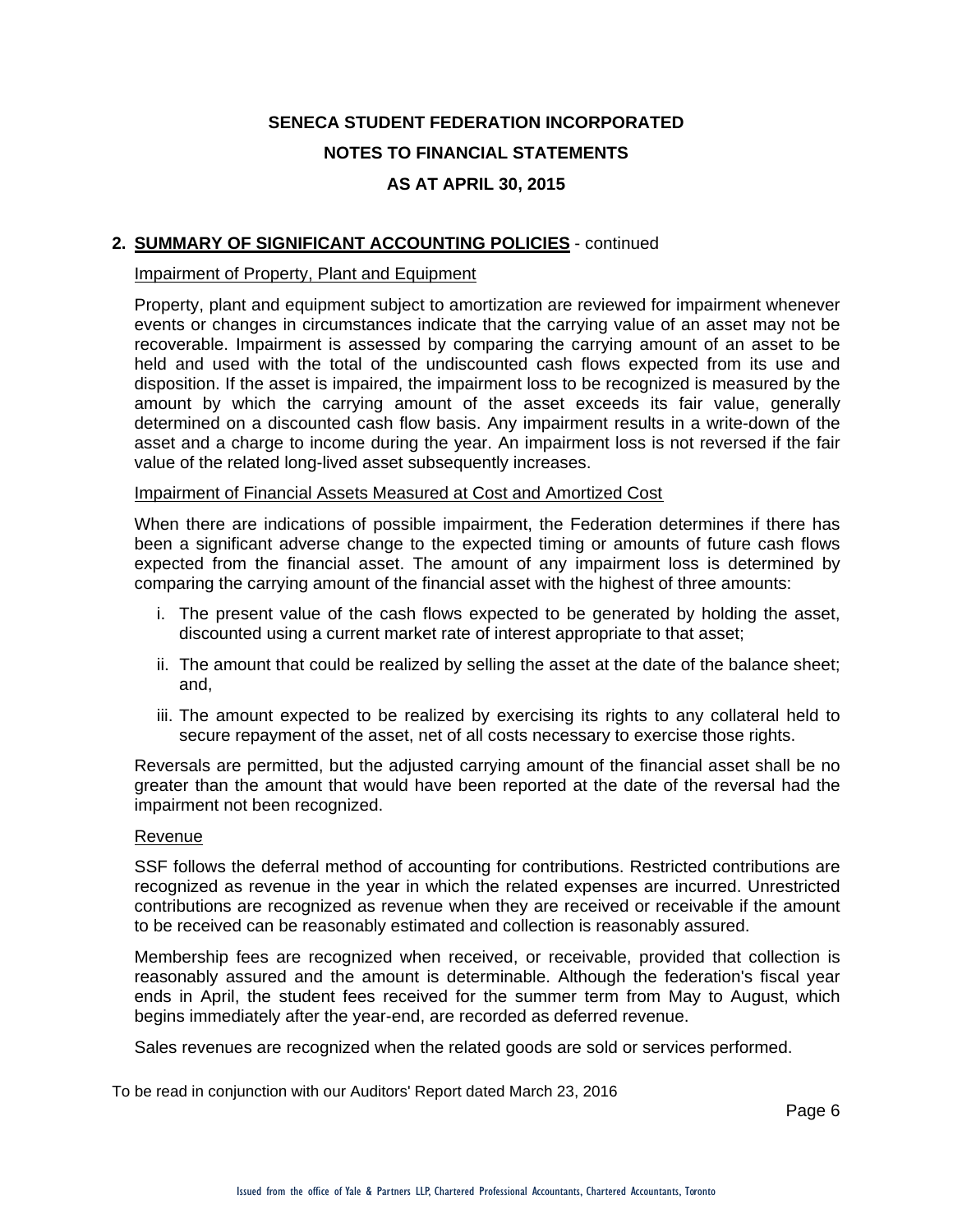## **2. SUMMARY OF SIGNIFICANT ACCOUNTING POLICIES** - continued

#### Impairment of Property, Plant and Equipment

Property, plant and equipment subject to amortization are reviewed for impairment whenever events or changes in circumstances indicate that the carrying value of an asset may not be recoverable. Impairment is assessed by comparing the carrying amount of an asset to be held and used with the total of the undiscounted cash flows expected from its use and disposition. If the asset is impaired, the impairment loss to be recognized is measured by the amount by which the carrying amount of the asset exceeds its fair value, generally determined on a discounted cash flow basis. Any impairment results in a write-down of the asset and a charge to income during the year. An impairment loss is not reversed if the fair value of the related long-lived asset subsequently increases.

#### Impairment of Financial Assets Measured at Cost and Amortized Cost

When there are indications of possible impairment, the Federation determines if there has been a significant adverse change to the expected timing or amounts of future cash flows expected from the financial asset. The amount of any impairment loss is determined by comparing the carrying amount of the financial asset with the highest of three amounts:

- i. The present value of the cash flows expected to be generated by holding the asset, discounted using a current market rate of interest appropriate to that asset;
- ii. The amount that could be realized by selling the asset at the date of the balance sheet; and,
- iii. The amount expected to be realized by exercising its rights to any collateral held to secure repayment of the asset, net of all costs necessary to exercise those rights.

Reversals are permitted, but the adjusted carrying amount of the financial asset shall be no greater than the amount that would have been reported at the date of the reversal had the impairment not been recognized.

#### Revenue

SSF follows the deferral method of accounting for contributions. Restricted contributions are recognized as revenue in the year in which the related expenses are incurred. Unrestricted contributions are recognized as revenue when they are received or receivable if the amount to be received can be reasonably estimated and collection is reasonably assured.

Membership fees are recognized when received, or receivable, provided that collection is reasonably assured and the amount is determinable. Although the federation's fiscal year ends in April, the student fees received for the summer term from May to August, which begins immediately after the year-end, are recorded as deferred revenue.

Sales revenues are recognized when the related goods are sold or services performed.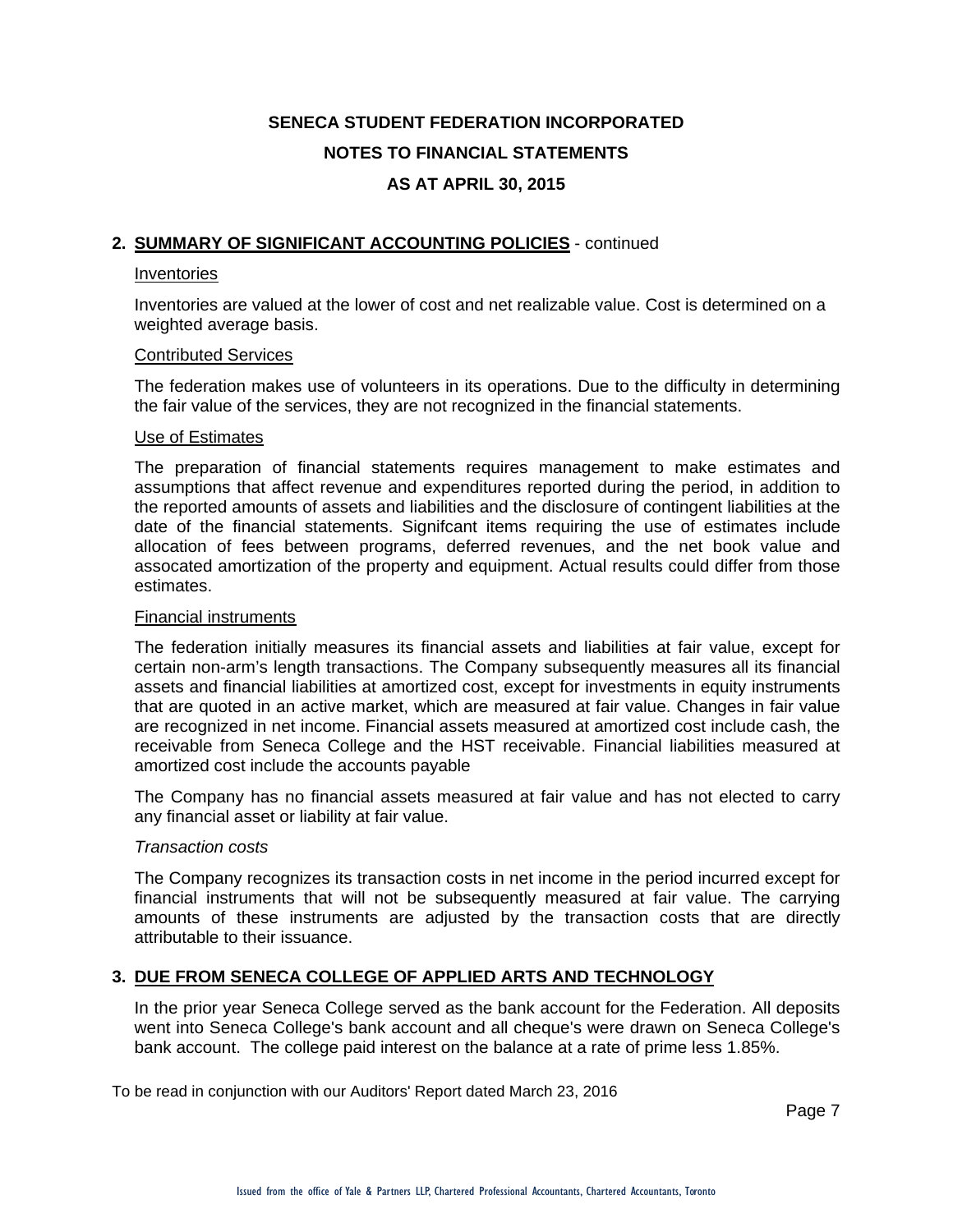## **2. SUMMARY OF SIGNIFICANT ACCOUNTING POLICIES** - continued

#### Inventories

Inventories are valued at the lower of cost and net realizable value. Cost is determined on a weighted average basis.

#### Contributed Services

The federation makes use of volunteers in its operations. Due to the difficulty in determining the fair value of the services, they are not recognized in the financial statements.

#### Use of Estimates

The preparation of financial statements requires management to make estimates and assumptions that affect revenue and expenditures reported during the period, in addition to the reported amounts of assets and liabilities and the disclosure of contingent liabilities at the date of the financial statements. Signifcant items requiring the use of estimates include allocation of fees between programs, deferred revenues, and the net book value and assocated amortization of the property and equipment. Actual results could differ from those estimates.

#### Financial instruments

The federation initially measures its financial assets and liabilities at fair value, except for certain non-arm's length transactions. The Company subsequently measures all its financial assets and financial liabilities at amortized cost, except for investments in equity instruments that are quoted in an active market, which are measured at fair value. Changes in fair value are recognized in net income. Financial assets measured at amortized cost include cash, the receivable from Seneca College and the HST receivable. Financial liabilities measured at amortized cost include the accounts payable

The Company has no financial assets measured at fair value and has not elected to carry any financial asset or liability at fair value.

#### *Transaction costs*

The Company recognizes its transaction costs in net income in the period incurred except for financial instruments that will not be subsequently measured at fair value. The carrying amounts of these instruments are adjusted by the transaction costs that are directly attributable to their issuance.

#### **3. DUE FROM SENECA COLLEGE OF APPLIED ARTS AND TECHNOLOGY**

In the prior year Seneca College served as the bank account for the Federation. All deposits went into Seneca College's bank account and all cheque's were drawn on Seneca College's bank account. The college paid interest on the balance at a rate of prime less 1.85%.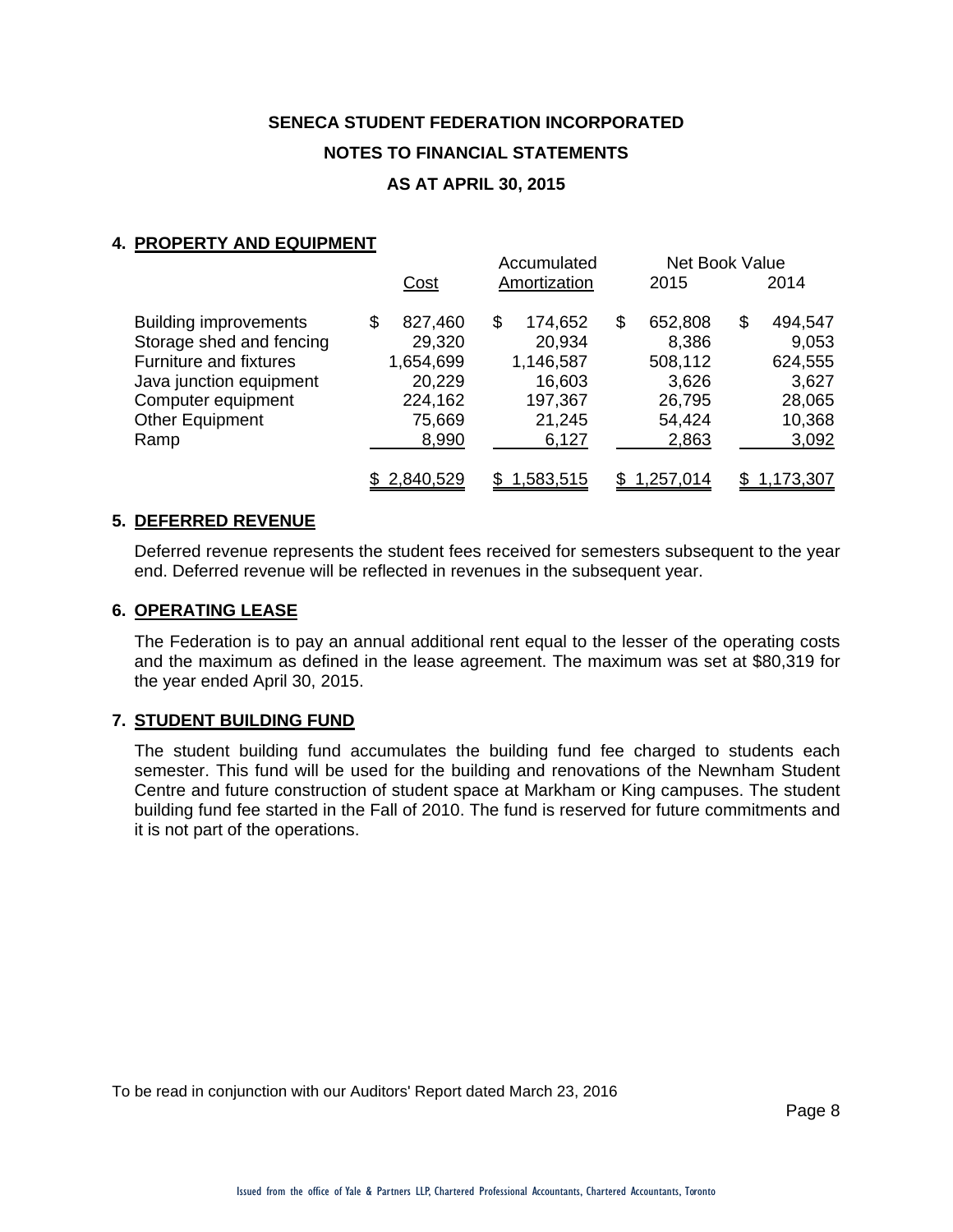## **4. PROPERTY AND EQUIPMENT**

|                               | Cost          | Accumulated<br>Amortization | Net Book Value<br>2015 | 2014          |
|-------------------------------|---------------|-----------------------------|------------------------|---------------|
| <b>Building improvements</b>  | \$<br>827,460 | \$<br>174,652               | \$<br>652,808          | \$<br>494,547 |
| Storage shed and fencing      | 29,320        | 20,934                      | 8,386                  | 9,053         |
| <b>Furniture and fixtures</b> | 1,654,699     | 1,146,587                   | 508,112                | 624,555       |
| Java junction equipment       | 20,229        | 16,603                      | 3,626                  | 3,627         |
| Computer equipment            | 224,162       | 197,367                     | 26,795                 | 28,065        |
| <b>Other Equipment</b>        | 75,669        | 21,245                      | 54,424                 | 10,368        |
| Ramp                          | 8,990         | 6,127                       | 2,863                  | 3,092         |
|                               | \$2,840,529   | 1,583,515                   | 1,257,014              | 1,173,307     |

#### **5. DEFERRED REVENUE**

Deferred revenue represents the student fees received for semesters subsequent to the year end. Deferred revenue will be reflected in revenues in the subsequent year.

#### **6. OPERATING LEASE**

The Federation is to pay an annual additional rent equal to the lesser of the operating costs and the maximum as defined in the lease agreement. The maximum was set at \$80,319 for the year ended April 30, 2015.

#### **7. STUDENT BUILDING FUND**

The student building fund accumulates the building fund fee charged to students each semester. This fund will be used for the building and renovations of the Newnham Student Centre and future construction of student space at Markham or King campuses. The student building fund fee started in the Fall of 2010. The fund is reserved for future commitments and it is not part of the operations.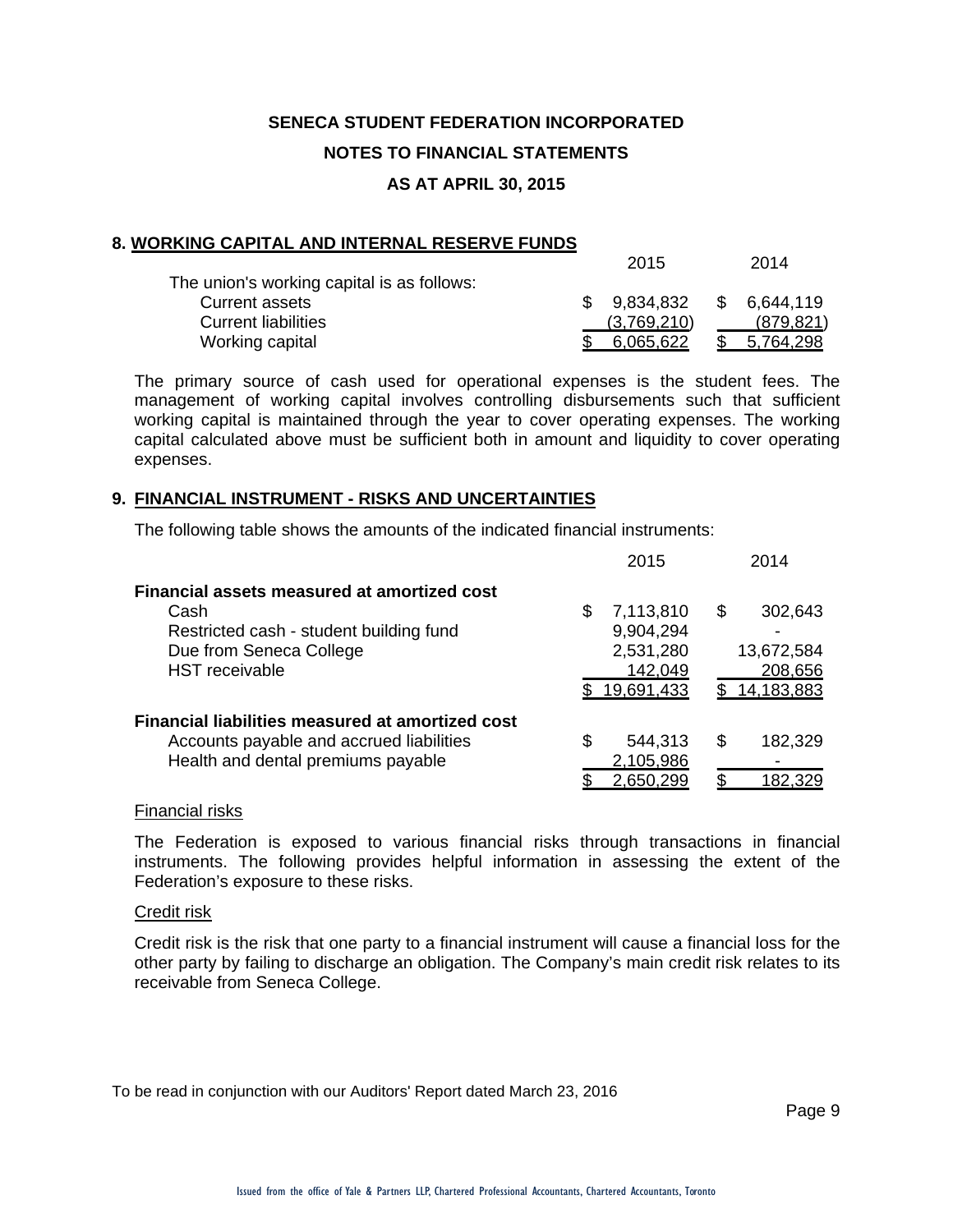#### **8. WORKING CAPITAL AND INTERNAL RESERVE FUNDS**

|                                            | 2015        |      | 2014         |
|--------------------------------------------|-------------|------|--------------|
| The union's working capital is as follows: |             |      |              |
| <b>Current assets</b>                      | \$9,834,832 |      | \$ 6.644.119 |
| <b>Current liabilities</b>                 | (3,769,210) |      | (879, 821)   |
| Working capital                            | 6,065,622   | - \$ | 5,764,298    |

The primary source of cash used for operational expenses is the student fees. The management of working capital involves controlling disbursements such that sufficient working capital is maintained through the year to cover operating expenses. The working capital calculated above must be sufficient both in amount and liquidity to cover operating expenses.

#### **9. FINANCIAL INSTRUMENT - RISKS AND UNCERTAINTIES**

The following table shows the amounts of the indicated financial instruments:

|                                                                                |   | 2015                 |     | 2014                  |
|--------------------------------------------------------------------------------|---|----------------------|-----|-----------------------|
| Financial assets measured at amortized cost<br>Cash                            | S | 7,113,810            | \$. | 302,643               |
| Restricted cash - student building fund                                        |   | 9,904,294            |     |                       |
| Due from Seneca College<br><b>HST</b> receivable                               |   | 2,531,280<br>142,049 |     | 13,672,584<br>208,656 |
|                                                                                |   | \$19,691,433         |     | \$14,183,883          |
| Financial liabilities measured at amortized cost                               |   |                      |     |                       |
| Accounts payable and accrued liabilities<br>Health and dental premiums payable | S | 544,313<br>2,105,986 | \$. | 182,329               |
|                                                                                |   | 2,650,299            |     | 182,329               |

#### Financial risks

The Federation is exposed to various financial risks through transactions in financial instruments. The following provides helpful information in assessing the extent of the Federation's exposure to these risks.

#### Credit risk

Credit risk is the risk that one party to a financial instrument will cause a financial loss for the other party by failing to discharge an obligation. The Company's main credit risk relates to its receivable from Seneca College.